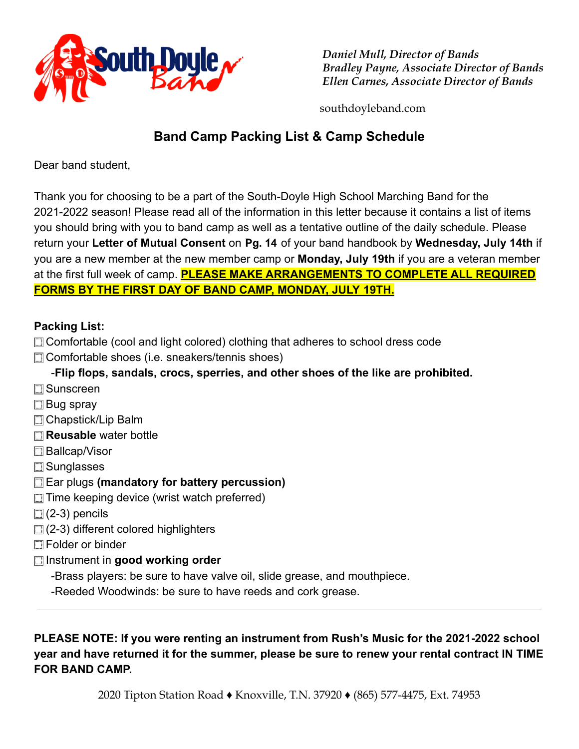

*Daniel Mull, Director of Bands Bradley Payne, Associate Director of Bands Ellen Carnes, Associate Director of Bands*

southdoyleband.com

# **Band Camp Packing List & Camp Schedule**

Dear band student,

Thank you for choosing to be a part of the South-Doyle High School Marching Band for the 2021-2022 season! Please read all of the information in this letter because it contains a list of items you should bring with you to band camp as well as a tentative outline of the daily schedule. Please return your Letter of Mutual Consent on Pg. 14 of your band handbook by Wednesday, July 14th if you are a new member at the new member camp or **Monday, July 19th** if you are a veteran member at the first full week of camp. **PLEASE MAKE ARRANGEMENTS TO COMPLETE ALL REQUIRED FORMS BY THE FIRST DAY OF BAND CAMP, MONDAY, JULY 19TH.**

## **Packing List:**

- ⬚ Comfortable (cool and light colored) clothing that adheres to school dress code
- ⬚ Comfortable shoes (i.e. sneakers/tennis shoes)
	- -**Flip flops, sandals, crocs, sperries, and other shoes of the like are prohibited.**
- ⬚ Sunscreen
- **□ Bug spray**
- □ Chapstick/Lip Balm
- ⬚ **Reusable** water bottle
- ⬚ Ballcap/Visor
- ⬚ Sunglasses
- ⬚ Ear plugs **(mandatory for battery percussion)**
- $\Box$  Time keeping device (wrist watch preferred)
- $\Box$  (2-3) pencils
- ⬚ (2-3) different colored highlighters
- ⬚ Folder or binder
- ⬚ Instrument in **good working order**
	- -Brass players: be sure to have valve oil, slide grease, and mouthpiece.
	- -Reeded Woodwinds: be sure to have reeds and cork grease.

**PLEASE NOTE: If you were renting an instrument from Rush's Music for the 2021-2022 school year and have returned it for the summer, please be sure to renew your rental contract IN TIME FOR BAND CAMP.**